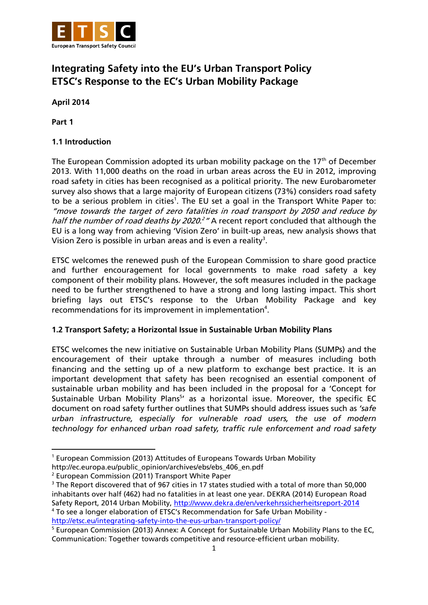

# **Integrating Safety into the EU's Urban Transport Policy ETSC's Response to the EC's Urban Mobility Package**

**April 2014**

**Part 1**

**.** 

## **1.1 Introduction**

The European Commission adopted its urban mobility package on the  $17<sup>th</sup>$  of December 2013. With 11,000 deaths on the road in urban areas across the EU in 2012, improving road safety in cities has been recognised as a political priority. The new Eurobarometer survey also shows that a large majority of European citizens (73%) considers road safety to be a serious problem in cities<sup>1</sup>. The EU set a goal in the Transport White Paper to: "move towards the target of zero fatalities in road transport by 2050 and reduce by half the number of road deaths by 2020.<sup>2</sup> "A recent report concluded that although the EU is a long way from achieving 'Vision Zero' in built-up areas, new analysis shows that Vision Zero is possible in urban areas and is even a reality<sup>3</sup>.

ETSC welcomes the renewed push of the European Commission to share good practice and further encouragement for local governments to make road safety a key component of their mobility plans. However, the soft measures included in the package need to be further strengthened to have a strong and long lasting impact. This short briefing lays out ETSC's response to the Urban Mobility Package and key recommendations for its improvement in implementation<sup>4</sup>.

## **1.2 Transport Safety; a Horizontal Issue in Sustainable Urban Mobility Plans**

ETSC welcomes the new initiative on Sustainable Urban Mobility Plans (SUMPs) and the encouragement of their uptake through a number of measures including both financing and the setting up of a new platform to exchange best practice. It is an important development that safety has been recognised an essential component of sustainable urban mobility and has been included in the proposal for a 'Concept for Sustainable Urban Mobility Plans<sup>5</sup>' as a horizontal issue. Moreover, the specific EC document on road safety further outlines that SUMPs should address issues such as *'safe urban infrastructure, especially for vulnerable road users, the use of modern technology for enhanced urban road safety, traffic rule enforcement and road safety* 

<sup>&</sup>lt;sup>1</sup> European Commission (2013) Attitudes of Europeans Towards Urban Mobility

http://ec.europa.eu/public\_opinion/archives/ebs/ebs\_406\_en.pdf

<sup>2</sup> European Commission (2011) Transport White Paper

<sup>&</sup>lt;sup>3</sup> The Report discovered that of 967 cities in 17 states studied with a total of more than 50,000 inhabitants over half (462) had no fatalities in at least one year. DEKRA (2014) European Road Safety Report, 2014 Urban Mobility,<http://www.dekra.de/en/verkehrssicherheitsreport-2014>

<sup>4</sup> To see a longer elaboration of ETSC's Recommendation for Safe Urban Mobility <http://etsc.eu/integrating-safety-into-the-eus-urban-transport-policy/>

<sup>&</sup>lt;sup>5</sup> European Commission (2013) Annex: A Concept for Sustainable Urban Mobility Plans to the EC. Communication: Together towards competitive and resource-efficient urban mobility.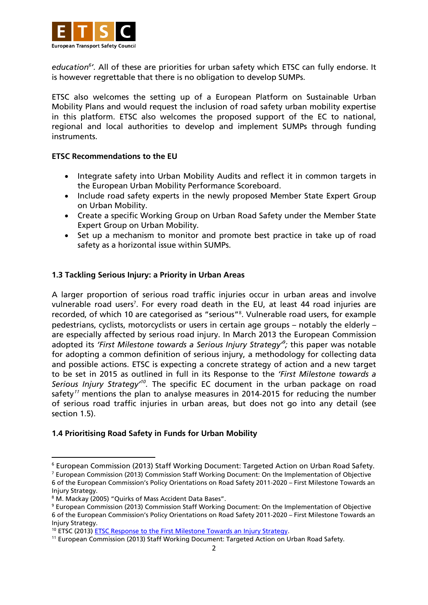

education<sup>6</sup>'. All of these are priorities for urban safety which ETSC can fully endorse. It is however regrettable that there is no obligation to develop SUMPs.

ETSC also welcomes the setting up of a European Platform on Sustainable Urban Mobility Plans and would request the inclusion of road safety urban mobility expertise in this platform. ETSC also welcomes the proposed support of the EC to national, regional and local authorities to develop and implement SUMPs through funding instruments.

#### **ETSC Recommendations to the EU**

- Integrate safety into Urban Mobility Audits and reflect it in common targets in the European Urban Mobility Performance Scoreboard.
- Include road safety experts in the newly proposed Member State Expert Group on Urban Mobility.
- Create a specific Working Group on Urban Road Safety under the Member State Expert Group on Urban Mobility.
- Set up a mechanism to monitor and promote best practice in take up of road safety as a horizontal issue within SUMPs.

#### **1.3 Tackling Serious Injury: a Priority in Urban Areas**

A larger proportion of serious road traffic injuries occur in urban areas and involve vulnerable road users<sup>7</sup>. For every road death in the EU, at least 44 road injuries are recorded, of which 10 are categorised as "serious"<sup>8</sup> . Vulnerable road users, for example pedestrians, cyclists, motorcyclists or users in certain age groups – notably the elderly – are especially affected by serious road injury. In March 2013 the European Commission adopted its *'First Milestone towards a Serious Injury Strategy'<sup>9</sup> ;* this paper was notable for adopting a common definition of serious injury, a methodology for collecting data and possible actions. ETSC is expecting a concrete strategy of action and a new target to be set in 2015 as outlined in full in its Response to the *'First Milestone towards a*  Serious Injury Strategy<sup>10</sup>. The specific EC document in the urban package on road safety<sup>11</sup> mentions the plan to analyse measures in 2014-2015 for reducing the number of serious road traffic injuries in urban areas, but does not go into any detail (see section 1.5).

#### **1.4 Prioritising Road Safety in Funds for Urban Mobility**

**.** 

<sup>6</sup> European Commission (2013) Staff Working Document: Targeted Action on Urban Road Safety.

<sup>7</sup> European Commission (2013) Commission Staff Working Document: On the Implementation of Objective 6 of the European Commission's Policy Orientations on Road Safety 2011-2020 – First Milestone Towards an Injury Strategy.

<sup>&</sup>lt;sup>8</sup> M. Mackay (2005) "Quirks of Mass Accident Data Bases".

<sup>9</sup> European Commission (2013) Commission Staff Working Document: On the Implementation of Objective 6 of the European Commission's Policy Orientations on Road Safety 2011-2020 – First Milestone Towards an Injury Strategy.

<sup>&</sup>lt;sup>10</sup> ETSC (2013[\) ETSC Response to the First Milestone Towards an Injury Strategy.](http://etsc.eu/response-to-the-european-commissions-first-milestone-towards-a-serious-injury-strategy/)

<sup>11</sup> European Commission (2013) Staff Working Document: Targeted Action on Urban Road Safety.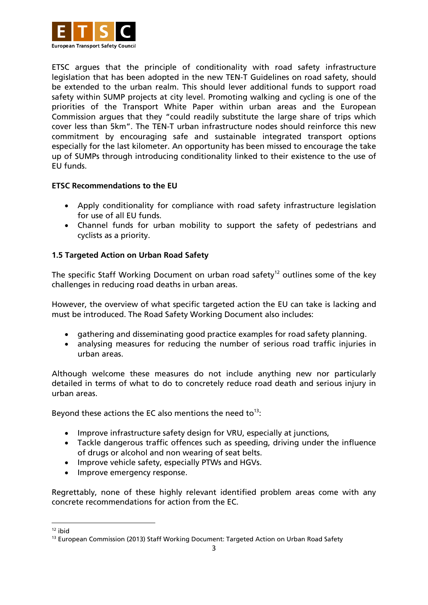

ETSC argues that the principle of conditionality with road safety infrastructure legislation that has been adopted in the new TEN-T Guidelines on road safety, should be extended to the urban realm. This should lever additional funds to support road safety within SUMP projects at city level. Promoting walking and cycling is one of the priorities of the Transport White Paper within urban areas and the European Commission argues that they "could readily substitute the large share of trips which cover less than 5km". The TEN-T urban infrastructure nodes should reinforce this new commitment by encouraging safe and sustainable integrated transport options especially for the last kilometer. An opportunity has been missed to encourage the take up of SUMPs through introducing conditionality linked to their existence to the use of EU funds.

## **ETSC Recommendations to the EU**

- Apply conditionality for compliance with road safety infrastructure legislation for use of all EU funds.
- Channel funds for urban mobility to support the safety of pedestrians and cyclists as a priority.

## **1.5 Targeted Action on Urban Road Safety**

The specific Staff Working Document on urban road safety<sup>12</sup> outlines some of the key challenges in reducing road deaths in urban areas.

However, the overview of what specific targeted action the EU can take is lacking and must be introduced. The Road Safety Working Document also includes:

- gathering and disseminating good practice examples for road safety planning.
- analysing measures for reducing the number of serious road traffic injuries in urban areas.

Although welcome these measures do not include anything new nor particularly detailed in terms of what to do to concretely reduce road death and serious injury in urban areas.

Beyond these actions the EC also mentions the need to<sup>13</sup>:

- Improve infrastructure safety design for VRU, especially at junctions,
- Tackle dangerous traffic offences such as speeding, driving under the influence of drugs or alcohol and non wearing of seat belts.
- Improve vehicle safety, especially PTWs and HGVs.
- Improve emergency response.

Regrettably, none of these highly relevant identified problem areas come with any concrete recommendations for action from the EC.

 $\overline{a}$ 

 $12$  ibid

<sup>&</sup>lt;sup>13</sup> European Commission (2013) Staff Working Document: Targeted Action on Urban Road Safety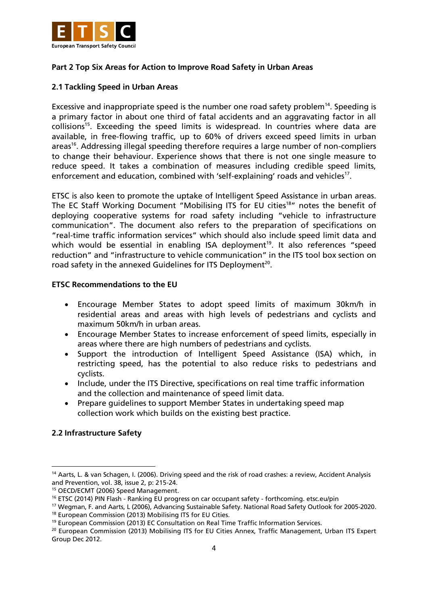

## **Part 2 Top Six Areas for Action to Improve Road Safety in Urban Areas**

#### **2.1 Tackling Speed in Urban Areas**

Excessive and inappropriate speed is the number one road safety problem<sup>14</sup>. Speeding is a primary factor in about one third of fatal accidents and an aggravating factor in all collisions<sup>15</sup>. Exceeding the speed limits is widespread. In countries where data are available, in free-flowing traffic, up to 60% of drivers exceed speed limits in urban areas<sup>16</sup>. Addressing illegal speeding therefore requires a large number of non-compliers to change their behaviour. Experience shows that there is not one single measure to reduce speed. It takes a combination of measures including credible speed limits, enforcement and education, combined with 'self-explaining' roads and vehicles<sup>17</sup>.

ETSC is also keen to promote the uptake of Intelligent Speed Assistance in urban areas. The EC Staff Working Document "Mobilising ITS for EU cities<sup>18</sup>" notes the benefit of deploying cooperative systems for road safety including "vehicle to infrastructure communication". The document also refers to the preparation of specifications on "real-time traffic information services" which should also include speed limit data and which would be essential in enabling ISA deployment<sup>19</sup>. It also references "speed reduction" and "infrastructure to vehicle communication" in the ITS tool box section on road safety in the annexed Guidelines for ITS Deployment<sup>20</sup>.

#### **ETSC Recommendations to the EU**

- Encourage Member States to adopt speed limits of maximum 30km/h in residential areas and areas with high levels of pedestrians and cyclists and maximum 50km/h in urban areas.
- Encourage Member States to increase enforcement of speed limits, especially in areas where there are high numbers of pedestrians and cyclists.
- Support the introduction of Intelligent Speed Assistance (ISA) which, in restricting speed, has the potential to also reduce risks to pedestrians and cyclists.
- Include, under the ITS Directive, specifications on real time traffic information and the collection and maintenance of speed limit data.
- Prepare guidelines to support Member States in undertaking speed map collection work which builds on the existing best practice.

#### **2.2 Infrastructure Safety**

<sup>1</sup> <sup>14</sup> Aarts, L. & van Schagen, I. (2006). Driving speed and the risk of road crashes: a review, Accident Analysis and Prevention, vol. 38, issue 2, p: 215-24.

<sup>15</sup> OECD/ECMT (2006) Speed Management.

<sup>&</sup>lt;sup>16</sup> ETSC (2014) PIN Flash - Ranking EU progress on car occupant safety - forthcoming. etsc.eu/pin

<sup>17</sup> Wegman, F. and Aarts, L (2006), Advancing Sustainable Safety. National Road Safety Outlook for 2005-2020.

<sup>18</sup> European Commission (2013) Mobilising ITS for EU Cities.

<sup>&</sup>lt;sup>19</sup> European Commission (2013) EC Consultation on Real Time Traffic Information Services.

<sup>&</sup>lt;sup>20</sup> European Commission (2013) Mobilising ITS for EU Cities Annex, Traffic Management, Urban ITS Expert Group Dec 2012.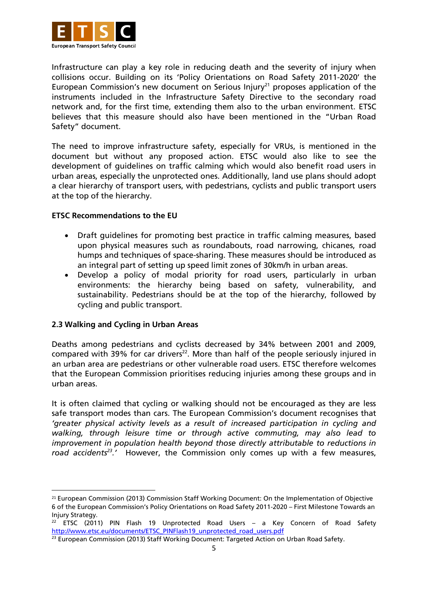

Infrastructure can play a key role in reducing death and the severity of injury when collisions occur. Building on its 'Policy Orientations on Road Safety 2011-2020' the European Commission's new document on Serious Injury<sup>21</sup> proposes application of the instruments included in the Infrastructure Safety Directive to the secondary road network and, for the first time, extending them also to the urban environment. ETSC believes that this measure should also have been mentioned in the "Urban Road Safety" document.

The need to improve infrastructure safety, especially for VRUs, is mentioned in the document but without any proposed action. ETSC would also like to see the development of guidelines on traffic calming which would also benefit road users in urban areas, especially the unprotected ones. Additionally, land use plans should adopt a clear hierarchy of transport users, with pedestrians, cyclists and public transport users at the top of the hierarchy.

#### **ETSC Recommendations to the EU**

- Draft guidelines for promoting best practice in traffic calming measures, based upon physical measures such as roundabouts, road narrowing, chicanes, road humps and techniques of space-sharing. These measures should be introduced as an integral part of setting up speed limit zones of 30km/h in urban areas.
- Develop a policy of modal priority for road users, particularly in urban environments: the hierarchy being based on safety, vulnerability, and sustainability. Pedestrians should be at the top of the hierarchy, followed by cycling and public transport.

#### **2.3 Walking and Cycling in Urban Areas**

1

Deaths among pedestrians and cyclists decreased by 34% between 2001 and 2009, compared with 39% for car drivers<sup>22</sup>. More than half of the people seriously injured in an urban area are pedestrians or other vulnerable road users. ETSC therefore welcomes that the European Commission prioritises reducing injuries among these groups and in urban areas.

It is often claimed that cycling or walking should not be encouraged as they are less safe transport modes than cars. The European Commission's document recognises that *'greater physical activity levels as a result of increased participation in cycling and walking, through leisure time or through active commuting, may also lead to improvement in population health beyond those directly attributable to reductions in road accidents<sup>23</sup> .'* However, the Commission only comes up with a few measures,

<sup>&</sup>lt;sup>21</sup> European Commission (2013) Commission Staff Working Document: On the Implementation of Objective 6 of the European Commission's Policy Orientations on Road Safety 2011-2020 – First Milestone Towards an Injury Strategy.

<sup>&</sup>lt;sup>22</sup> ETSC (2011) PIN Flash 19 Unprotected Road Users – a Key Concern of Road Safety [http://www.etsc.eu/documents/ETSC\\_PINFlash19\\_unprotected\\_road\\_users.pdf](http://www.etsc.eu/documents/ETSC_PINFlash19_unprotected_road_users.pdf)

<sup>&</sup>lt;sup>23</sup> European Commission (2013) Staff Working Document: Targeted Action on Urban Road Safety.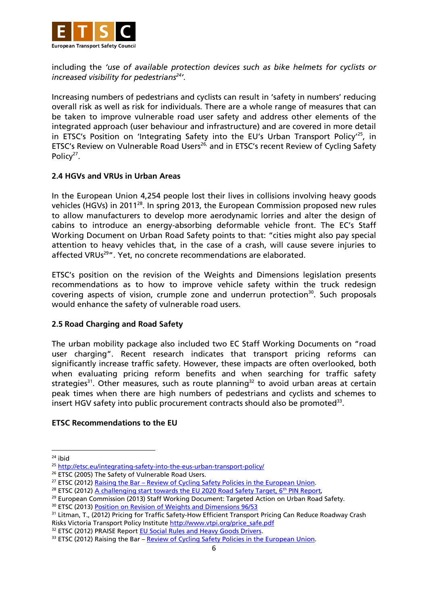

including the *'use of available protection devices such as bike helmets for cyclists or increased visibility for pedestrians<sup>24</sup> '.*

Increasing numbers of pedestrians and cyclists can result in 'safety in numbers' reducing overall risk as well as risk for individuals. There are a whole range of measures that can be taken to improve vulnerable road user safety and address other elements of the integrated approach (user behaviour and infrastructure) and are covered in more detail in ETSC's Position on 'Integrating Safety into the EU's Urban Transport Policy<sup>125</sup>, in ETSC's Review on Vulnerable Road Users<sup>26,</sup> and in ETSC's recent Review of Cycling Safety Policy<sup>27</sup>.

## **2.4 HGVs and VRUs in Urban Areas**

In the European Union 4,254 people lost their lives in collisions involving heavy goods vehicles (HGVs) in 2011<sup>28</sup>. In spring 2013, the European Commission proposed new rules to allow manufacturers to develop more aerodynamic lorries and alter the design of cabins to introduce an energy-absorbing deformable vehicle front. The EC's Staff Working Document on Urban Road Safety points to that: "cities might also pay special attention to heavy vehicles that, in the case of a crash, will cause severe injuries to affected VRUs<sup>29</sup>". Yet, no concrete recommendations are elaborated.

ETSC's position on the revision of the Weights and Dimensions legislation presents recommendations as to how to improve vehicle safety within the truck redesign covering aspects of vision, crumple zone and underrun protection<sup>30</sup>. Such proposals would enhance the safety of vulnerable road users.

#### **2.5 Road Charging and Road Safety**

The urban mobility package also included two EC Staff Working Documents on "road user charging". Recent research indicates that transport pricing reforms can significantly increase traffic safety. However, these impacts are often overlooked, both when evaluating pricing reform benefits and when searching for traffic safety strategies<sup>31</sup>. Other measures, such as route planning<sup>32</sup> to avoid urban areas at certain peak times when there are high numbers of pedestrians and cyclists and schemes to insert HGV safety into public procurement contracts should also be promoted<sup>33</sup>.

#### **ETSC Recommendations to the EU**

1

 $24$  ibid

<sup>&</sup>lt;sup>25</sup> <http://etsc.eu/integrating-safety-into-the-eus-urban-transport-policy/>

<sup>&</sup>lt;sup>26</sup> ETSC (2005) The Safety of Vulnerable Road Users.

<sup>&</sup>lt;sup>27</sup> ETSC (2012) Raising the Bar – [Review of Cycling Safety Policies in the](http://etsc.eu/raising-the-bar-a-review-of-cycling-policies-in-the-european-union/) European Union.

<sup>&</sup>lt;sup>28</sup> ETSC (2012[\) A challenging start towards the EU 2020 Road Safety Target, 6](http://etsc.eu/6th-annual-road-safety-performance-index-pin-report/)<sup>th</sup> PIN Report,

<sup>&</sup>lt;sup>29</sup> European Commission (2013) Staff Working Document: Targeted Action on Urban Road Safety.

<sup>&</sup>lt;sup>30</sup> ETSC (2013[\) Position on Revision of Weights and Dimensions 96/53](http://etsc.eu/position-paper-proposal-to-amend-maximum-weights-and-dimensions-of-vehicles/)

<sup>&</sup>lt;sup>31</sup> Litman, T., (2012) Pricing for Traffic Safety-How Efficient Transport Pricing Can Reduce Roadway Crash Risks Victoria Transport Policy Institute [http://www.vtpi.org/price\\_safe.pdf](http://www.vtpi.org/price_safe.pdf)

<sup>&</sup>lt;sup>32</sup> ETSC (2012) PRAISE Report **EU Social Rules and Heavy Goods Drivers.** 

<sup>33</sup> ETSC (2012) Raising the Bar – [Review of Cycling Safety Policies in the European Union.](http://etsc.eu/raising-the-bar-a-review-of-cycling-policies-in-the-european-union/)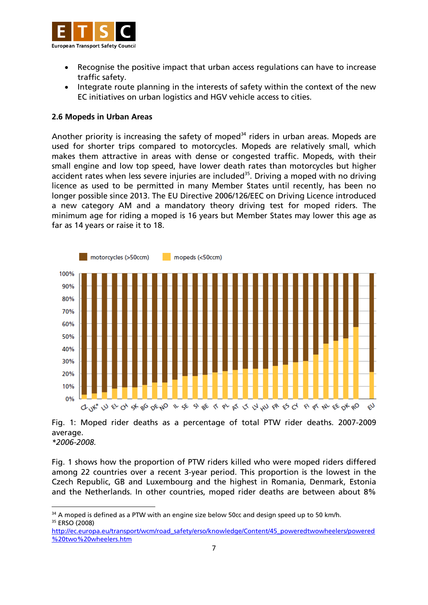

- Recognise the positive impact that urban access regulations can have to increase traffic safety.
- Integrate route planning in the interests of safety within the context of the new EC initiatives on urban logistics and HGV vehicle access to cities.

#### **2.6 Mopeds in Urban Areas**

1

Another priority is increasing the safety of moped<sup>34</sup> riders in urban areas. Mopeds are used for shorter trips compared to motorcycles. Mopeds are relatively small, which makes them attractive in areas with dense or congested traffic. Mopeds, with their small engine and low top speed, have lower death rates than motorcycles but higher accident rates when less severe injuries are included<sup>35</sup>. Driving a moped with no driving licence as used to be permitted in many Member States until recently, has been no longer possible since 2013. The EU Directive 2006/126/EEC on Driving Licence introduced a new category AM and a mandatory theory driving test for moped riders. The minimum age for riding a moped is 16 years but Member States may lower this age as far as 14 years or raise it to 18.



Fig. 1: Moped rider deaths as a percentage of total PTW rider deaths. 2007-2009 average. *\*2006-2008.*

Fig. 1 shows how the proportion of PTW riders killed who were moped riders differed among 22 countries over a recent 3-year period. This proportion is the lowest in the Czech Republic, GB and Luxembourg and the highest in Romania, Denmark, Estonia and the Netherlands. In other countries, moped rider deaths are between about 8%

[http://ec.europa.eu/transport/wcm/road\\_safety/erso/knowledge/Content/45\\_poweredtwowheelers/powered](http://ec.europa.eu/transport/wcm/road_safety/erso/knowledge/Content/45_poweredtwowheelers/powered%20two%20wheelers.htm) [%20two%20wheelers.htm](http://ec.europa.eu/transport/wcm/road_safety/erso/knowledge/Content/45_poweredtwowheelers/powered%20two%20wheelers.htm)

 $34$  A moped is defined as a PTW with an engine size below 50cc and design speed up to 50 km/h. <sup>35</sup> ERSO (2008)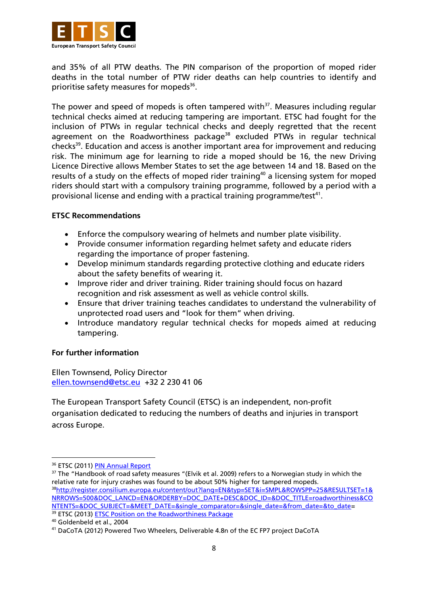

and 35% of all PTW deaths. The PIN comparison of the proportion of moped rider deaths in the total number of PTW rider deaths can help countries to identify and prioritise safety measures for mopeds<sup>36</sup>.

The power and speed of mopeds is often tampered with $37$ . Measures including regular technical checks aimed at reducing tampering are important. ETSC had fought for the inclusion of PTWs in regular technical checks and deeply regretted that the recent agreement on the Roadworthiness package<sup>38</sup> excluded PTWs in regular technical checks<sup>39</sup>. Education and access is another important area for improvement and reducing risk. The minimum age for learning to ride a moped should be 16, the new Driving Licence Directive allows Member States to set the age between 14 and 18. Based on the results of a study on the effects of moped rider training<sup>40</sup> a licensing system for moped riders should start with a compulsory training programme, followed by a period with a provisional license and ending with a practical training programme/test<sup>41</sup>.

#### **ETSC Recommendations**

- Enforce the compulsory wearing of helmets and number plate visibility.
- Provide consumer information regarding helmet safety and educate riders regarding the importance of proper fastening.
- Develop minimum standards regarding protective clothing and educate riders about the safety benefits of wearing it.
- Improve rider and driver training. Rider training should focus on hazard recognition and risk assessment as well as vehicle control skills.
- Ensure that driver training teaches candidates to understand the vulnerability of unprotected road users and "look for them" when driving.
- Introduce mandatory regular technical checks for mopeds aimed at reducing tampering.

#### **For further information**

Ellen Townsend, Policy Director [ellen.townsend@etsc.eu](mailto:ellen.townsend@etsc.eu) +32 2 230 41 06

The European Transport Safety Council (ETSC) is an independent, non-profit organisation dedicated to reducing the numbers of deaths and injuries in transport across Europe.

**.** 

<sup>&</sup>lt;sup>36</sup> ETSC (2011[\) PIN Annual Report](http://etsc.eu/5th-annual-road-safety-performance-index-pin-report/)

 $37$  The "Handbook of road safety measures "(Elvik et al. 2009) refers to a Norwegian study in which the relative rate for injury crashes was found to be about 50% higher for tampered mopeds. <sup>38</sup>[http://register.consilium.europa.eu/content/out?lang=EN&typ=SET&i=SMPL&ROWSPP=25&RESULTSET=1&](http://register.consilium.europa.eu/content/out?lang=EN&typ=SET&i=SMPL&ROWSPP=25&RESULTSET=1&NRROWS=500&DOC_LANCD=EN&ORDERBY=DOC_DATE+DESC&DOC_ID=&DOC_TITLE=roadworthiness&CONTENTS=&DOC_SUBJECT=&MEET_DATE=&single_comparator=&single_date=&from_date=&to_date) [NRROWS=500&DOC\\_LANCD=EN&ORDERBY=DOC\\_DATE+DESC&DOC\\_ID=&DOC\\_TITLE=roadworthiness&CO](http://register.consilium.europa.eu/content/out?lang=EN&typ=SET&i=SMPL&ROWSPP=25&RESULTSET=1&NRROWS=500&DOC_LANCD=EN&ORDERBY=DOC_DATE+DESC&DOC_ID=&DOC_TITLE=roadworthiness&CONTENTS=&DOC_SUBJECT=&MEET_DATE=&single_comparator=&single_date=&from_date=&to_date) [NTENTS=&DOC\\_SUBJECT=&MEET\\_DATE=&single\\_comparator=&single\\_date=&from\\_date=&to\\_date=](http://register.consilium.europa.eu/content/out?lang=EN&typ=SET&i=SMPL&ROWSPP=25&RESULTSET=1&NRROWS=500&DOC_LANCD=EN&ORDERBY=DOC_DATE+DESC&DOC_ID=&DOC_TITLE=roadworthiness&CONTENTS=&DOC_SUBJECT=&MEET_DATE=&single_comparator=&single_date=&from_date=&to_date) <sup>39</sup> ETSC (2013) **ETSC Position on the Roadworthiness Package** 

<sup>40</sup> Goldenbeld et al., 2004

<sup>41</sup> DaCoTA (2012) Powered Two Wheelers, Deliverable 4.8n of the EC FP7 project DaCoTA